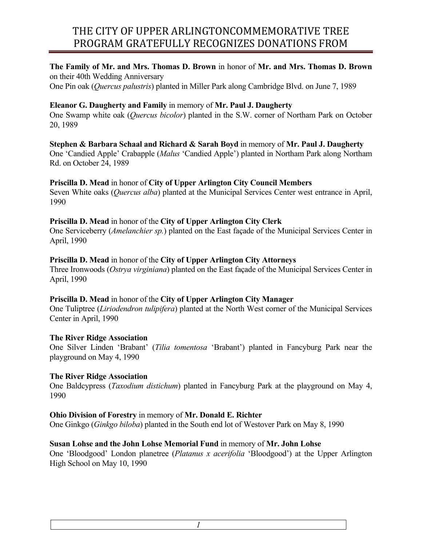#### **The Family of Mr. and Mrs. Thomas D. Brown** in honor of **Mr. and Mrs. Thomas D. Brown** on their 40th Wedding Anniversary

One Pin oak (*Quercus palustris*) planted in Miller Park along Cambridge Blvd. on June 7, 1989

# **Eleanor G. Daugherty and Family** in memory of **Mr. Paul J. Daugherty**

One Swamp white oak (*Quercus bicolor*) planted in the S.W. corner of Northam Park on October 20, 1989

**Stephen & Barbara Schaal and Richard & Sarah Boyd** in memory of **Mr. Paul J. Daugherty** One 'Candied Apple' Crabapple (*Malus* 'Candied Apple') planted in Northam Park along Northam

Rd. on October 24, 1989

## **Priscilla D. Mead** in honor of **City of Upper Arlington City Council Members**

Seven White oaks (*Quercus alba*) planted at the Municipal Services Center west entrance in April, 1990

## **Priscilla D. Mead** in honor of the **City of Upper Arlington City Clerk**

One Serviceberry (*Amelanchier sp.*) planted on the East façade of the Municipal Services Center in April, 1990

## **Priscilla D. Mead** in honor of the **City of Upper Arlington City Attorneys**

Three Ironwoods (*Ostrya virginiana*) planted on the East façade of the Municipal Services Center in April, 1990

## **Priscilla D. Mead** in honor of the **City of Upper Arlington City Manager**

One Tuliptree (*Liriodendron tulipifera*) planted at the North West corner of the Municipal Services Center in April, 1990

## **The River Ridge Association**

One Silver Linden 'Brabant' (*Tilia tomentosa* 'Brabant') planted in Fancyburg Park near the playground on May 4, 1990

## **The River Ridge Association**

One Baldcypress (*Taxodium distichum*) planted in Fancyburg Park at the playground on May 4, 1990

# **Ohio Division of Forestry** in memory of **Mr. Donald E. Richter**

One Ginkgo (*Ginkgo biloba*) planted in the South end lot of Westover Park on May 8, 1990

# **Susan Lohse and the John Lohse Memorial Fund** in memory of **Mr. John Lohse**

One 'Bloodgood' London planetree (*Platanus x acerifolia* 'Bloodgood') at the Upper Arlington High School on May 10, 1990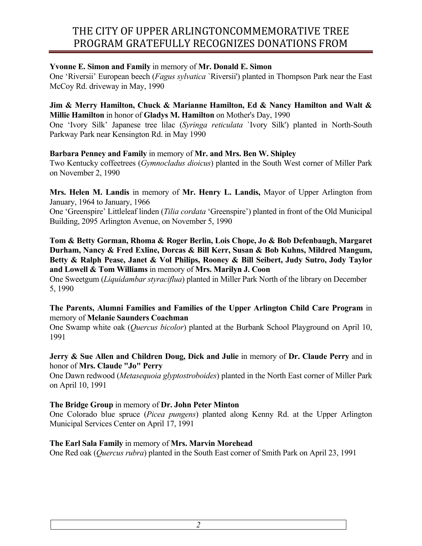## **Yvonne E. Simon and Family** in memory of **Mr. Donald E. Simon**

One 'Riversii' European beech (*Fagus sylvatica* `Riversii') planted in Thompson Park near the East McCoy Rd. driveway in May, 1990

#### **Jim & Merry Hamilton, Chuck & Marianne Hamilton, Ed & Nancy Hamilton and Walt & Millie Hamilton** in honor of **Gladys M. Hamilton** on Mother's Day, 1990

One 'Ivory Silk' Japanese tree lilac (*Syringa reticulata* `Ivory Silk') planted in North-South Parkway Park near Kensington Rd. in May 1990

## **Barbara Penney and Family** in memory of **Mr. and Mrs. Ben W. Shipley**

Two Kentucky coffeetrees (*Gymnocladus dioicus*) planted in the South West corner of Miller Park on November 2, 1990

**Mrs. Helen M. Landis** in memory of **Mr. Henry L. Landis,** Mayor of Upper Arlington from January, 1964 to January, 1966

One 'Greenspire' Littleleaf linden (*Tilia cordata* 'Greenspire') planted in front of the Old Municipal Building, 2095 Arlington Avenue, on November 5, 1990

**Tom & Betty Gorman, Rhoma & Roger Berlin, Lois Chope, Jo & Bob Defenbaugh, Margaret Durham, Nancy & Fred Exline, Dorcas & Bill Kerr, Susan & Bob Kuhns, Mildred Mangum, Betty & Ralph Pease, Janet & Vol Philips, Rooney & Bill Seibert, Judy Sutro, Jody Taylor and Lowell & Tom Williams** in memory of **Mrs. Marilyn J. Coon**

One Sweetgum (*Liquidambar styraciflua*) planted in Miller Park North of the library on December 5, 1990

## **The Parents, Alumni Families and Families of the Upper Arlington Child Care Program** in memory of **Melanie Saunders Coachman**

One Swamp white oak (*Quercus bicolor*) planted at the Burbank School Playground on April 10, 1991

## **Jerry & Sue Allen and Children Doug, Dick and Julie** in memory of **Dr. Claude Perry** and in honor of **Mrs. Claude "Jo" Perry**

One Dawn redwood (*Metasequoia glyptostroboides*) planted in the North East corner of Miller Park on April 10, 1991

## **The Bridge Group** in memory of **Dr. John Peter Minton**

One Colorado blue spruce (*Picea pungens*) planted along Kenny Rd. at the Upper Arlington Municipal Services Center on April 17, 1991

## **The Earl Sala Family** in memory of **Mrs. Marvin Morehead**

One Red oak (*Quercus rubra*) planted in the South East corner of Smith Park on April 23, 1991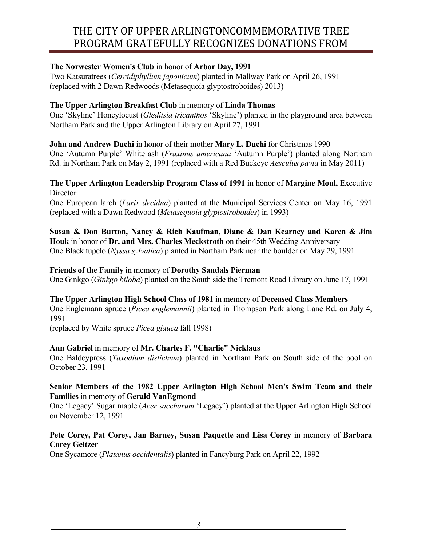# **The Norwester Women's Club** in honor of **Arbor Day, 1991**

Two Katsuratrees (*Cercidiphyllum japonicum*) planted in Mallway Park on April 26, 1991 (replaced with 2 Dawn Redwoods (Metasequoia glyptostroboides) 2013)

## **The Upper Arlington Breakfast Club** in memory of **Linda Thomas**

One 'Skyline' Honeylocust (*Gleditsia tricanthos* 'Skyline') planted in the playground area between Northam Park and the Upper Arlington Library on April 27, 1991

**John and Andrew Duchi** in honor of their mother **Mary L. Duchi** for Christmas 1990 One 'Autumn Purple' White ash (*Fraxinus americana* 'Autumn Purple') planted along Northam Rd. in Northam Park on May 2, 1991 (replaced with a Red Buckeye *Aesculus pavia* in May 2011)

#### **The Upper Arlington Leadership Program Class of 1991** in honor of **Margine Moul,** Executive **Director**

One European larch (*Larix decidua*) planted at the Municipal Services Center on May 16, 1991 (replaced with a Dawn Redwood (*Metasequoia glyptostroboides*) in 1993)

**Susan & Don Burton, Nancy & Rich Kaufman, Diane & Dan Kearney and Karen & Jim Houk** in honor of **Dr. and Mrs. Charles Meckstroth** on their 45th Wedding Anniversary One Black tupelo (*Nyssa sylvatica*) planted in Northam Park near the boulder on May 29, 1991

#### **Friends of the Family** in memory of **Dorothy Sandals Pierman**

One Ginkgo (*Ginkgo biloba*) planted on the South side the Tremont Road Library on June 17, 1991

## **The Upper Arlington High School Class of 1981** in memory of **Deceased Class Members**

One Englemann spruce (*Picea englemannii*) planted in Thompson Park along Lane Rd. on July 4, 1991

(replaced by White spruce *Picea glauca* fall 1998)

## **Ann Gabriel** in memory of **Mr. Charles F. "Charlie" Nicklaus**

One Baldcypress (*Taxodium distichum*) planted in Northam Park on South side of the pool on October 23, 1991

#### **Senior Members of the 1982 Upper Arlington High School Men's Swim Team and their Families** in memory of **Gerald VanEgmond**

One 'Legacy' Sugar maple (*Acer saccharum* 'Legacy') planted at the Upper Arlington High School on November 12, 1991

## **Pete Corey, Pat Corey, Jan Barney, Susan Paquette and Lisa Corey** in memory of **Barbara Corey Geltzer**

One Sycamore (*Platanus occidentalis*) planted in Fancyburg Park on April 22, 1992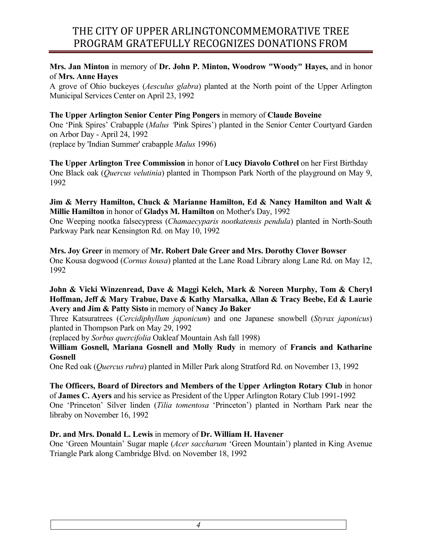## **Mrs. Jan Minton** in memory of **Dr. John P. Minton, Woodrow "Woody" Hayes,** and in honor of **Mrs. Anne Hayes**

A grove of Ohio buckeyes (*Aesculus glabra*) planted at the North point of the Upper Arlington Municipal Services Center on April 23, 1992

## **The Upper Arlington Senior Center Ping Pongers** in memory of **Claude Boveine**

One 'Pink Spires' Crabapple (*Malus '*Pink Spires') planted in the Senior Center Courtyard Garden on Arbor Day - April 24, 1992 (replace by 'Indian Summer' crabapple *Malus* 1996)

**The Upper Arlington Tree Commission** in honor of **Lucy Diavolo Cothrel** on her First Birthday One Black oak (*Quercus velutinia*) planted in Thompson Park North of the playground on May 9, 1992

## **Jim & Merry Hamilton, Chuck & Marianne Hamilton, Ed & Nancy Hamilton and Walt & Millie Hamilton** in honor of **Gladys M. Hamilton** on Mother's Day, 1992

One Weeping nootka falsecypress (*Chamaecyparis nootkatensis pendula*) planted in North-South Parkway Park near Kensington Rd. on May 10, 1992

#### **Mrs. Joy Greer** in memory of **Mr. Robert Dale Greer and Mrs. Dorothy Clover Bowser** One Kousa dogwood (*Cornus kousa*) planted at the Lane Road Library along Lane Rd. on May 12, 1992

## **John & Vicki Winzenread, Dave & Maggi Kelch, Mark & Noreen Murphy, Tom & Cheryl Hoffman, Jeff & Mary Trabue, Dave & Kathy Marsalka, Allan & Tracy Beebe, Ed & Laurie Avery and Jim & Patty Sisto** in memory of **Nancy Jo Baker**

Three Katsuratrees (*Cercidiphyllum japonicum*) and one Japanese snowbell (*Styrax japonicus*) planted in Thompson Park on May 29, 1992

(replaced by *Sorbus quercifolia* Oakleaf Mountain Ash fall 1998)

**William Gosnell, Mariana Gosnell and Molly Rudy** in memory of **Francis and Katharine Gosnell**

One Red oak (*Quercus rubra*) planted in Miller Park along Stratford Rd. on November 13, 1992

# **The Officers, Board of Directors and Members of the Upper Arlington Rotary Club** in honor

of **James C. Ayers** and his service as President of the Upper Arlington Rotary Club 1991-1992 One 'Princeton' Silver linden (*Tilia tomentosa* 'Princeton') planted in Northam Park near the libraby on November 16, 1992

# **Dr. and Mrs. Donald L. Lewis** in memory of **Dr. William H. Havener**

One 'Green Mountain' Sugar maple (*Acer saccharum* 'Green Mountain') planted in King Avenue Triangle Park along Cambridge Blvd. on November 18, 1992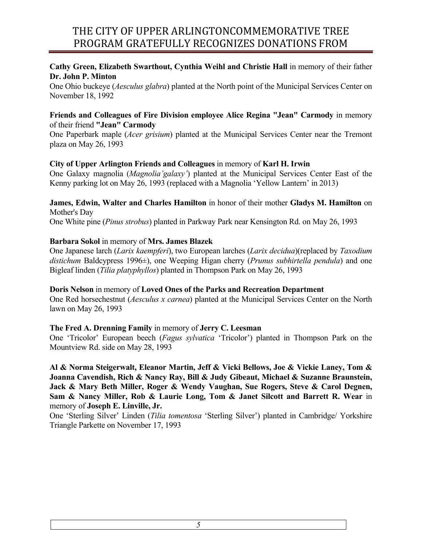## **Cathy Green, Elizabeth Swarthout, Cynthia Weihl and Christie Hall** in memory of their father **Dr. John P. Minton**

One Ohio buckeye (*Aesculus glabra*) planted at the North point of the Municipal Services Center on November 18, 1992

#### **Friends and Colleagues of Fire Division employee Alice Regina "Jean" Carmody** in memory of their friend **"Jean" Carmody**

One Paperbark maple (*Acer grisium*) planted at the Municipal Services Center near the Tremont plaza on May 26, 1993

## **City of Upper Arlington Friends and Colleagues** in memory of **Karl H. Irwin**

One Galaxy magnolia (*Magnolia'galaxy'*) planted at the Municipal Services Center East of the Kenny parking lot on May 26, 1993 (replaced with a Magnolia 'Yellow Lantern' in 2013)

## **James, Edwin, Walter and Charles Hamilton** in honor of their mother **Gladys M. Hamilton** on Mother's Day

One White pine (*Pinus strobus*) planted in Parkway Park near Kensington Rd. on May 26, 1993

## **Barbara Sokol** in memory of **Mrs. James Blazek**

One Japanese larch (*Larix kaempferi*), two European larches (*Larix decidua*)(replaced by *Taxodium distichum* Baldcypress 1996±), one Weeping Higan cherry (*Prunus subhirtella pendula*) and one Bigleaf linden (*Tilia platyphyllos*) planted in Thompson Park on May 26, 1993

## **Doris Nelson** in memory of **Loved Ones of the Parks and Recreation Department**

One Red horsechestnut (*Aesculus x carnea*) planted at the Municipal Services Center on the North lawn on May 26, 1993

## **The Fred A. Drenning Family** in memory of **Jerry C. Leesman**

One 'Tricolor' European beech (*Fagus sylvatica* 'Tricolor') planted in Thompson Park on the Mountview Rd. side on May 28, 1993

**Al & Norma Steigerwalt, Eleanor Martin, Jeff & Vicki Bellows, Joe & Vickie Laney, Tom & Joanna Cavendish, Rich & Nancy Ray, Bill & Judy Gibeaut, Michael & Suzanne Braunstein, Jack & Mary Beth Miller, Roger & Wendy Vaughan, Sue Rogers, Steve & Carol Degnen, Sam & Nancy Miller, Rob & Laurie Long, Tom & Janet Silcott and Barrett R. Wear** in memory of **Joseph E. Linville, Jr.**

One 'Sterling Silver' Linden (*Tilia tomentosa* 'Sterling Silver') planted in Cambridge/ Yorkshire Triangle Parkette on November 17, 1993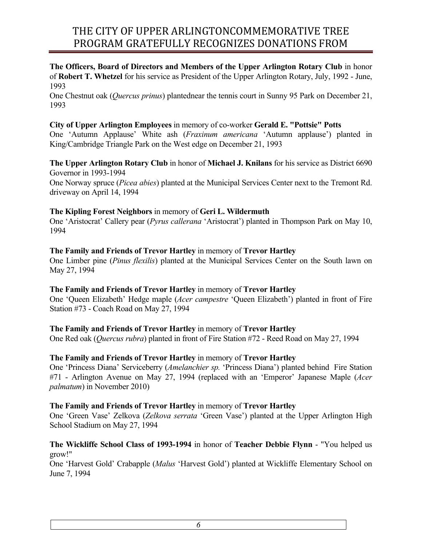**The Officers, Board of Directors and Members of the Upper Arlington Rotary Club** in honor of **Robert T. Whetzel** for his service as President of the Upper Arlington Rotary, July, 1992 - June, 1993

One Chestnut oak (*Quercus prinus*) plantednear the tennis court in Sunny 95 Park on December 21, 1993

## **City of Upper Arlington Employees** in memory of co-worker **Gerald E. "Pottsie" Potts**

One 'Autumn Applause' White ash (*Fraxinum americana* 'Autumn applause') planted in King/Cambridge Triangle Park on the West edge on December 21, 1993

**The Upper Arlington Rotary Club** in honor of **Michael J. Knilans** for his service as District 6690 Governor in 1993-1994

One Norway spruce (*Picea abies*) planted at the Municipal Services Center next to the Tremont Rd. driveway on April 14, 1994

## **The Kipling Forest Neighbors** in memory of **Geri L. Wildermuth**

One 'Aristocrat' Callery pear (*Pyrus callerana* 'Aristocrat') planted in Thompson Park on May 10, 1994

#### **The Family and Friends of Trevor Hartley** in memory of **Trevor Hartley**

One Limber pine (*Pinus flexilis*) planted at the Municipal Services Center on the South lawn on May 27, 1994

#### **The Family and Friends of Trevor Hartley** in memory of **Trevor Hartley**

One 'Queen Elizabeth' Hedge maple (*Acer campestre* 'Queen Elizabeth') planted in front of Fire Station #73 - Coach Road on May 27, 1994

#### **The Family and Friends of Trevor Hartley** in memory of **Trevor Hartley**

One Red oak (*Quercus rubra*) planted in front of Fire Station #72 - Reed Road on May 27, 1994

## **The Family and Friends of Trevor Hartley** in memory of **Trevor Hartley**

One 'Princess Diana' Serviceberry (*Amelanchier sp.* 'Princess Diana') planted behind Fire Station #71 - Arlington Avenue on May 27, 1994 (replaced with an 'Emperor' Japanese Maple (*Acer palmatum*) in November 2010)

## **The Family and Friends of Trevor Hartley** in memory of **Trevor Hartley**

One 'Green Vase' Zelkova (*Zelkova serrata* 'Green Vase') planted at the Upper Arlington High School Stadium on May 27, 1994

## **The Wickliffe School Class of 1993-1994** in honor of **Teacher Debbie Flynn** - "You helped us grow!"

One 'Harvest Gold' Crabapple (*Malus* 'Harvest Gold') planted at Wickliffe Elementary School on June 7, 1994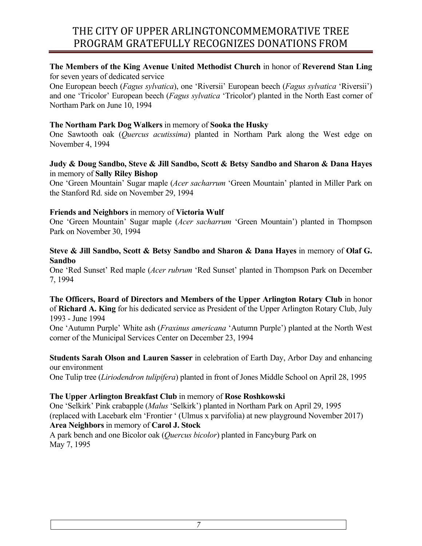## **The Members of the King Avenue United Methodist Church** in honor of **Reverend Stan Ling** for seven years of dedicated service

One European beech (*Fagus sylvatica*), one 'Riversii' European beech (*Fagus sylvatica* 'Riversii') and one 'Tricolor' European beech (*Fagus sylvatica* 'Tricolor') planted in the North East corner of Northam Park on June 10, 1994

#### **The Northam Park Dog Walkers** in memory of **Sooka the Husky**

One Sawtooth oak (*Quercus acutissima*) planted in Northam Park along the West edge on November 4, 1994

#### **Judy & Doug Sandbo, Steve & Jill Sandbo, Scott & Betsy Sandbo and Sharon & Dana Hayes**  in memory of **Sally Riley Bishop**

One 'Green Mountain' Sugar maple (*Acer sacharrum* 'Green Mountain' planted in Miller Park on the Stanford Rd. side on November 29, 1994

#### **Friends and Neighbors** in memory of **Victoria Wulf**

One 'Green Mountain' Sugar maple (*Acer sacharrum* 'Green Mountain') planted in Thompson Park on November 30, 1994

#### **Steve & Jill Sandbo, Scott & Betsy Sandbo and Sharon & Dana Hayes** in memory of **Olaf G. Sandbo**

One 'Red Sunset' Red maple (*Acer rubrum* 'Red Sunset' planted in Thompson Park on December 7, 1994

#### **The Officers, Board of Directors and Members of the Upper Arlington Rotary Club** in honor of **Richard A. King** for his dedicated service as President of the Upper Arlington Rotary Club, July 1993 - June 1994

One 'Autumn Purple' White ash (*Fraxinus americana* 'Autumn Purple') planted at the North West corner of the Municipal Services Center on December 23, 1994

#### **Students Sarah Olson and Lauren Sasser** in celebration of Earth Day, Arbor Day and enhancing our environment

One Tulip tree (*Liriodendron tulipifera*) planted in front of Jones Middle School on April 28, 1995

## **The Upper Arlington Breakfast Club** in memory of **Rose Roshkowski**

One 'Selkirk' Pink crabapple (*Malus* 'Selkirk') planted in Northam Park on April 29, 1995 (replaced with Lacebark elm 'Frontier ' (Ulmus x parvifolia) at new playground November 2017) **Area Neighbors** in memory of **Carol J. Stock**

A park bench and one Bicolor oak (*Quercus bicolor*) planted in Fancyburg Park on May 7, 1995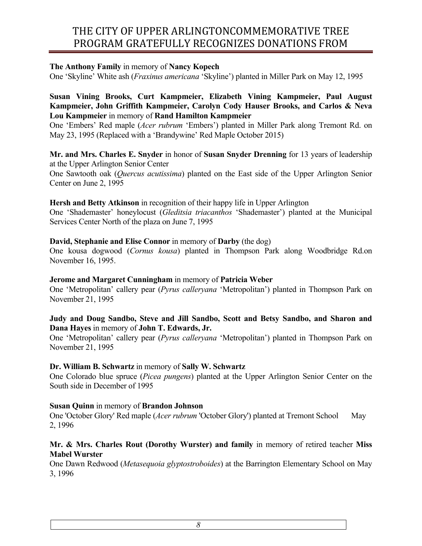#### **The Anthony Family** in memory of **Nancy Kopech**

One 'Skyline' White ash (*Fraxinus americana* 'Skyline') planted in Miller Park on May 12, 1995

#### **Susan Vining Brooks, Curt Kampmeier, Elizabeth Vining Kampmeier, Paul August Kampmeier, John Griffith Kampmeier, Carolyn Cody Hauser Brooks, and Carlos & Neva Lou Kampmeier** in memory of **Rand Hamilton Kampmeier**

One 'Embers' Red maple (*Acer rubrum* 'Embers') planted in Miller Park along Tremont Rd. on May 23, 1995 (Replaced with a 'Brandywine' Red Maple October 2015)

#### **Mr. and Mrs. Charles E. Snyder** in honor of **Susan Snyder Drenning** for 13 years of leadership at the Upper Arlington Senior Center

One Sawtooth oak (*Quercus acutissima*) planted on the East side of the Upper Arlington Senior Center on June 2, 1995

#### **Hersh and Betty Atkinson** in recognition of their happy life in Upper Arlington

One 'Shademaster' honeylocust (*Gleditsia triacanthos* 'Shademaster') planted at the Municipal Services Center North of the plaza on June 7, 1995

#### **David, Stephanie and Elise Connor** in memory of **Darby** (the dog)

One kousa dogwood (*Cornus kousa*) planted in Thompson Park along Woodbridge Rd.on November 16, 1995.

#### **Jerome and Margaret Cunningham** in memory of **Patricia Weber**

One 'Metropolitan' callery pear (*Pyrus calleryana* 'Metropolitan') planted in Thompson Park on November 21, 1995

#### **Judy and Doug Sandbo, Steve and Jill Sandbo, Scott and Betsy Sandbo, and Sharon and Dana Hayes** in memory of **John T. Edwards, Jr.**

One 'Metropolitan' callery pear (*Pyrus calleryana* 'Metropolitan') planted in Thompson Park on November 21, 1995

#### **Dr. William B. Schwartz** in memory of **Sally W. Schwartz**

One Colorado blue spruce (*Picea pungens*) planted at the Upper Arlington Senior Center on the South side in December of 1995

#### **Susan Quinn** in memory of **Brandon Johnson**

One 'October Glory' Red maple (*Acer rubrum* 'October Glory') planted at Tremont School May 2, 1996

#### **Mr. & Mrs. Charles Rout (Dorothy Wurster) and family** in memory of retired teacher **Miss Mabel Wurster**

One Dawn Redwood (*Metasequoia glyptostroboides*) at the Barrington Elementary School on May 3, 1996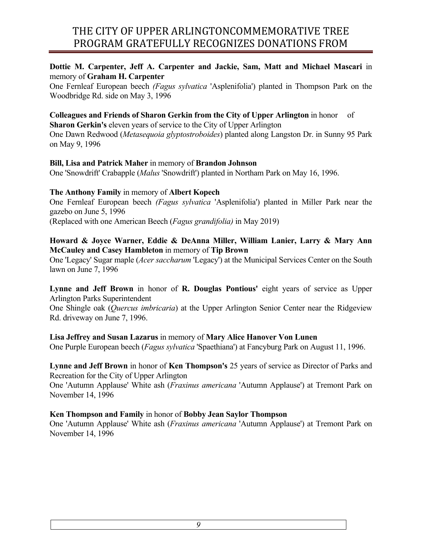## **Dottie M. Carpenter, Jeff A. Carpenter and Jackie, Sam, Matt and Michael Mascari** in memory of **Graham H. Carpenter**

One Fernleaf European beech *(Fagus sylvatica* 'Asplenifolia') planted in Thompson Park on the Woodbridge Rd. side on May 3, 1996

# **Colleagues and Friends of Sharon Gerkin from the City of Upper Arlington** in honor of

**Sharon Gerkin's** eleven years of service to the City of Upper Arlington

One Dawn Redwood (*Metasequoia glyptostroboides*) planted along Langston Dr. in Sunny 95 Park on May 9, 1996

## **Bill, Lisa and Patrick Maher** in memory of **Brandon Johnson**

One 'Snowdrift' Crabapple (*Malus* 'Snowdrift') planted in Northam Park on May 16, 1996.

## **The Anthony Family** in memory of **Albert Kopech**

One Fernleaf European beech *(Fagus sylvatica* 'Asplenifolia') planted in Miller Park near the gazebo on June 5, 1996

(Replaced with one American Beech (*Fagus grandifolia)* in May 2019)

## **Howard & Joyce Warner, Eddie & DeAnna Miller, William Lanier, Larry & Mary Ann McCauley and Casey Hambleton** in memory of **Tip Brown**

One 'Legacy' Sugar maple (*Acer saccharum* 'Legacy') at the Municipal Services Center on the South lawn on June 7, 1996

#### Lynne and Jeff Brown in honor of **R. Douglas Pontious'** eight years of service as Upper Arlington Parks Superintendent

One Shingle oak (*Quercus imbricaria*) at the Upper Arlington Senior Center near the Ridgeview Rd. driveway on June 7, 1996.

## **Lisa Jeffrey and Susan Lazarus** in memory of **Mary Alice Hanover Von Lunen**

One Purple European beech (*Fagus sylvatica* 'Spaethiana') at Fancyburg Park on August 11, 1996.

**Lynne and Jeff Brown** in honor of **Ken Thompson's** 25 years of service as Director of Parks and Recreation for the City of Upper Arlington

One 'Autumn Applause' White ash (*Fraxinus americana* 'Autumn Applause') at Tremont Park on November 14, 1996

## **Ken Thompson and Family** in honor of **Bobby Jean Saylor Thompson**

One 'Autumn Applause' White ash (*Fraxinus americana* 'Autumn Applause') at Tremont Park on November 14, 1996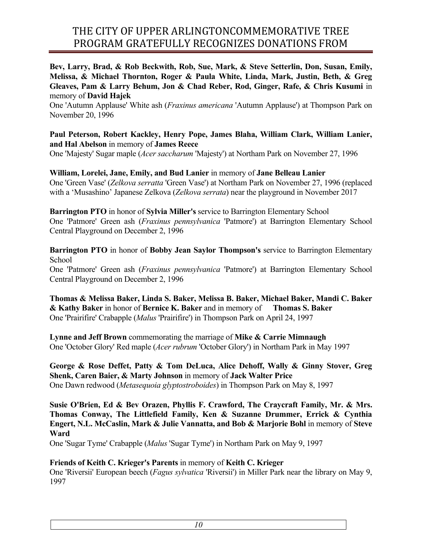**Bev, Larry, Brad, & Rob Beckwith, Rob, Sue, Mark, & Steve Setterlin, Don, Susan, Emily, Melissa, & Michael Thornton, Roger & Paula White, Linda, Mark, Justin, Beth, & Greg Gleaves, Pam & Larry Behum, Jon & Chad Reber, Rod, Ginger, Rafe, & Chris Kusumi** in memory of **David Hajek**

One 'Autumn Applause' White ash (*Fraxinus americana* 'Autumn Applause') at Thompson Park on November 20, 1996

## **Paul Peterson, Robert Kackley, Henry Pope, James Blaha, William Clark, William Lanier, and Hal Abelson** in memory of **James Reece**

One 'Majesty' Sugar maple (*Acer saccharum* 'Majesty') at Northam Park on November 27, 1996

## **William, Lorelei, Jane, Emily, and Bud Lanier** in memory of **Jane Belleau Lanier**

One 'Green Vase' (*Zelkova serratta* 'Green Vase') at Northam Park on November 27, 1996 (replaced with a 'Musashino' Japanese Zelkova (*Zelkova serrata*) near the playground in November 2017

**Barrington PTO** in honor of **Sylvia Miller's** service to Barrington Elementary School One 'Patmore' Green ash (*Fraxinus pennsylvanica* 'Patmore') at Barrington Elementary School Central Playground on December 2, 1996

**Barrington PTO** in honor of **Bobby Jean Saylor Thompson's** service to Barrington Elementary School

One 'Patmore' Green ash (*Fraxinus pennsylvanica* 'Patmore') at Barrington Elementary School Central Playground on December 2, 1996

**Thomas & Melissa Baker, Linda S. Baker, Melissa B. Baker, Michael Baker, Mandi C. Baker & Kathy Baker** in honor of **Bernice K. Baker** and in memory of **Thomas S. Baker**  One 'Prairifire' Crabapple (*Malus* 'Prairifire') in Thompson Park on April 24, 1997

**Lynne and Jeff Brown** commemorating the marriage of **Mike & Carrie Mimnaugh** One 'October Glory' Red maple (*Acer rubrum* 'October Glory') in Northam Park in May 1997

**George & Rose Deffet, Patty & Tom DeLuca, Alice Dehoff, Wally & Ginny Stover, Greg Shenk, Caren Baier, & Marty Johnson** in memory of **Jack Walter Price** One Dawn redwood (*Metasequoia glyptostroboides*) in Thompson Park on May 8, 1997

**Susie O'Brien, Ed & Bev Orazen, Phyllis F. Crawford, The Craycraft Family, Mr. & Mrs. Thomas Conway, The Littlefield Family, Ken & Suzanne Drummer, Errick & Cynthia Engert, N.L. McCaslin, Mark & Julie Vannatta, and Bob & Marjorie Bohl** in memory of **Steve Ward**

One 'Sugar Tyme' Crabapple (*Malus* 'Sugar Tyme') in Northam Park on May 9, 1997

## **Friends of Keith C. Krieger's Parents** in memory of **Keith C. Krieger**

One 'Riversii' European beech (*Fagus sylvatica* 'Riversii') in Miller Park near the library on May 9, 1997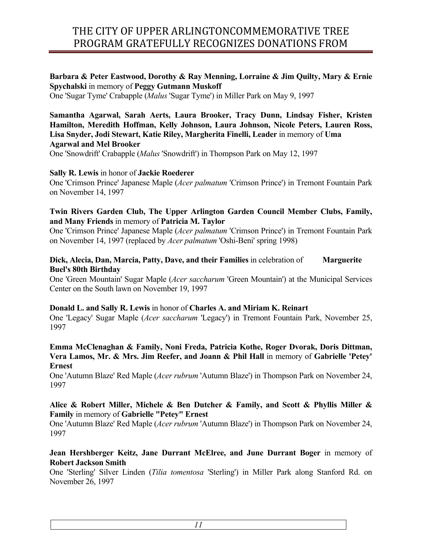## **Barbara & Peter Eastwood, Dorothy & Ray Menning, Lorraine & Jim Quilty, Mary & Ernie Spychalski** in memory of **Peggy Gutmann Muskoff**

One 'Sugar Tyme' Crabapple (*Malus* 'Sugar Tyme') in Miller Park on May 9, 1997

#### **Samantha Agarwal, Sarah Aerts, Laura Brooker, Tracy Dunn, Lindsay Fisher, Kristen Hamilton, Meredith Hoffman, Kelly Johnson, Laura Johnson, Nicole Peters, Lauren Ross, Lisa Snyder, Jodi Stewart, Katie Riley, Margherita Finelli, Leader** in memory of **Uma Agarwal and Mel Brooker**

One 'Snowdrift' Crabapple (*Malus* 'Snowdrift') in Thompson Park on May 12, 1997

## **Sally R. Lewis** in honor of **Jackie Roederer**

One 'Crimson Prince' Japanese Maple (*Acer palmatum* 'Crimson Prince') in Tremont Fountain Park on November 14, 1997

## **Twin Rivers Garden Club, The Upper Arlington Garden Council Member Clubs, Family, and Many Friends** in memory of **Patricia M. Taylor**

One 'Crimson Prince' Japanese Maple (*Acer palmatum* 'Crimson Prince') in Tremont Fountain Park on November 14, 1997 (replaced by *Acer palmatum* 'Oshi-Beni' spring 1998)

## **Dick, Alecia, Dan, Marcia, Patty, Dave, and their Families** in celebration of **Marguerite Buel's 80th Birthday**

One 'Green Mountain' Sugar Maple (*Acer saccharum* 'Green Mountain') at the Municipal Services Center on the South lawn on November 19, 1997

## **Donald L. and Sally R. Lewis** in honor of **Charles A. and Miriam K. Reinart**

One 'Legacy' Sugar Maple (*Acer saccharum* 'Legacy') in Tremont Fountain Park, November 25, 1997

#### **Emma McClenaghan & Family, Noni Freda, Patricia Kothe, Roger Dvorak, Doris Dittman, Vera Lamos, Mr. & Mrs. Jim Reefer, and Joann & Phil Hall** in memory of **Gabrielle 'Petey' Ernest**

One 'Autumn Blaze' Red Maple (*Acer rubrum* 'Autumn Blaze') in Thompson Park on November 24, 1997

#### **Alice & Robert Miller, Michele & Ben Dutcher & Family, and Scott & Phyllis Miller & Family** in memory of **Gabrielle "Petey" Ernest**

One 'Autumn Blaze' Red Maple (*Acer rubrum* 'Autumn Blaze') in Thompson Park on November 24, 1997

## **Jean Hershberger Keitz, Jane Durrant McElree, and June Durrant Boger** in memory of **Robert Jackson Smith**

One 'Sterling' Silver Linden (*Tilia tomentosa* 'Sterling') in Miller Park along Stanford Rd. on November 26, 1997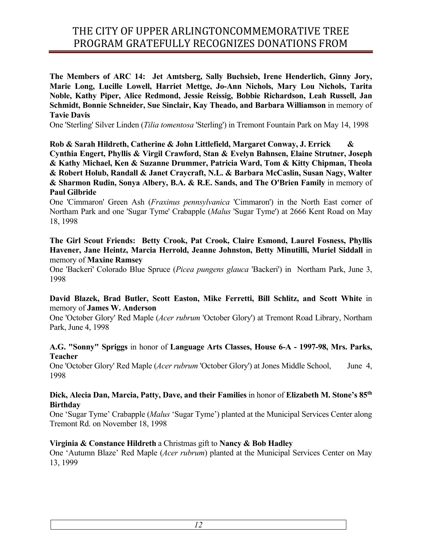**The Members of ARC 14: Jet Amtsberg, Sally Buchsieb, Irene Henderlich, Ginny Jory, Marie Long, Lucille Lowell, Harriet Mettge, Jo-Ann Nichols, Mary Lou Nichols, Tarita Noble, Kathy Piper, Alice Redmond, Jessie Reissig, Bobbie Richardson, Leah Russell, Jan Schmidt, Bonnie Schneider, Sue Sinclair, Kay Theado, and Barbara Williamson** in memory of **Tavie Davis**

One 'Sterling' Silver Linden (*Tilia tomentosa* 'Sterling') in Tremont Fountain Park on May 14, 1998

**Rob & Sarah Hildreth, Catherine & John Littlefield, Margaret Conway, J. Errick & Cynthia Engert, Phyllis & Virgil Crawford, Stan & Evelyn Bahnsen, Elaine Strutner, Joseph & Kathy Michael, Ken & Suzanne Drummer, Patricia Ward, Tom & Kitty Chipman, Theola & Robert Holub, Randall & Janet Craycraft, N.L. & Barbara McCaslin, Susan Nagy, Walter & Sharmon Rudin, Sonya Albery, B.A. & R.E. Sands, and The O'Brien Family** in memory of **Paul Gilbride**

One 'Cimmaron' Green Ash (*Fraxinus pennsylvanica* 'Cimmaron') in the North East corner of Northam Park and one 'Sugar Tyme' Crabapple (*Malus* 'Sugar Tyme') at 2666 Kent Road on May 18, 1998

**The Girl Scout Friends: Betty Crook, Pat Crook, Claire Esmond, Laurel Fosness, Phyllis Havener, Jane Heintz, Marcia Herrold, Jeanne Johnston, Betty Minutilli, Muriel Siddall** in memory of **Maxine Ramsey**

One 'Backeri' Colorado Blue Spruce (*Picea pungens glauca* 'Backeri') in Northam Park, June 3, 1998

## **David Blazek, Brad Butler, Scott Easton, Mike Ferretti, Bill Schlitz, and Scott White** in memory of **James W. Anderson**

One 'October Glory' Red Maple (*Acer rubrum* 'October Glory') at Tremont Road Library, Northam Park, June 4, 1998

#### **A.G. "Sonny" Spriggs** in honor of **Language Arts Classes, House 6-A - 1997-98, Mrs. Parks, Teacher**

One 'October Glory' Red Maple (*Acer rubrum* 'October Glory') at Jones Middle School, June 4, 1998

#### **Dick, Alecia Dan, Marcia, Patty, Dave, and their Families** in honor of **Elizabeth M. Stone's 85th Birthday**

One 'Sugar Tyme' Crabapple (*Malus* 'Sugar Tyme') planted at the Municipal Services Center along Tremont Rd. on November 18, 1998

## **Virginia & Constance Hildreth** a Christmas gift to **Nancy & Bob Hadley**

One 'Autumn Blaze' Red Maple (*Acer rubrum*) planted at the Municipal Services Center on May 13, 1999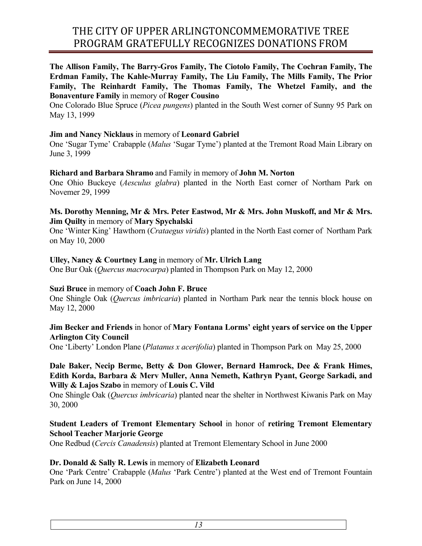**The Allison Family, The Barry-Gros Family, The Ciotolo Family, The Cochran Family, The Erdman Family, The Kahle-Murray Family, The Liu Family, The Mills Family, The Prior Family, The Reinhardt Family, The Thomas Family, The Whetzel Family, and the Bonaventure Family** in memory of **Roger Cousino**

One Colorado Blue Spruce (*Picea pungens*) planted in the South West corner of Sunny 95 Park on May 13, 1999

#### **Jim and Nancy Nicklaus** in memory of **Leonard Gabriel**

One 'Sugar Tyme' Crabapple (*Malus* 'Sugar Tyme') planted at the Tremont Road Main Library on June 3, 1999

#### **Richard and Barbara Shramo** and Family in memory of **John M. Norton**

One Ohio Buckeye (*Aesculus glabra*) planted in the North East corner of Northam Park on Novemer 29, 1999

#### **Ms. Dorothy Menning, Mr & Mrs. Peter Eastwod, Mr & Mrs. John Muskoff, and Mr & Mrs. Jim Quilty** in memory of **Mary Spychalski**

One 'Winter King' Hawthorn (*Crataegus viridis*) planted in the North East corner of Northam Park on May 10, 2000

#### **Ulley, Nancy & Courtney Lang** in memory of **Mr. Ulrich Lang**

One Bur Oak (*Quercus macrocarpa*) planted in Thompson Park on May 12, 2000

#### **Suzi Bruce** in memory of **Coach John F. Bruce**

One Shingle Oak (*Quercus imbricaria*) planted in Northam Park near the tennis block house on May 12, 2000

#### **Jim Becker and Friends** in honor of **Mary Fontana Lorms' eight years of service on the Upper Arlington City Council**

One 'Liberty' London Plane (*Platanus x acerifolia*) planted in Thompson Park on May 25, 2000

#### **Dale Baker, Necip Berme, Betty & Don Glower, Bernard Hamrock, Dee & Frank Himes, Edith Korda, Barbara & Merv Muller, Anna Nemeth, Kathryn Pyant, George Sarkadi, and Willy & Lajos Szabo** in memory of **Louis C. Vild**

One Shingle Oak (*Quercus imbricaria*) planted near the shelter in Northwest Kiwanis Park on May 30, 2000

## **Student Leaders of Tremont Elementary School** in honor of **retiring Tremont Elementary School Teacher Marjorie George**

One Redbud (*Cercis Canadensis*) planted at Tremont Elementary School in June 2000

#### **Dr. Donald & Sally R. Lewis** in memory of **Elizabeth Leonard**

One 'Park Centre' Crabapple (*Malus* 'Park Centre') planted at the West end of Tremont Fountain Park on June 14, 2000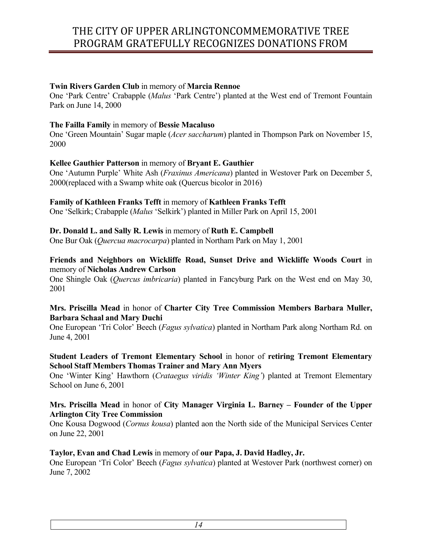#### **Twin Rivers Garden Club** in memory of **Marcia Rennoe**

One 'Park Centre' Crabapple (*Malus* 'Park Centre') planted at the West end of Tremont Fountain Park on June 14, 2000

#### **The Failla Family** in memory of **Bessie Macaluso**

One 'Green Mountain' Sugar maple (*Acer saccharum*) planted in Thompson Park on November 15, 2000

#### **Kellee Gauthier Patterson** in memory of **Bryant E. Gauthier**

One 'Autumn Purple' White Ash (*Fraxinus Americana*) planted in Westover Park on December 5, 2000(replaced with a Swamp white oak (Quercus bicolor in 2016)

#### **Family of Kathleen Franks Tefft** in memory of **Kathleen Franks Tefft**

One 'Selkirk; Crabapple (*Malus* 'Selkirk') planted in Miller Park on April 15, 2001

#### **Dr. Donald L. and Sally R. Lewis** in memory of **Ruth E. Campbell**

One Bur Oak (*Quercua macrocarpa*) planted in Northam Park on May 1, 2001

#### **Friends and Neighbors on Wickliffe Road, Sunset Drive and Wickliffe Woods Court** in memory of **Nicholas Andrew Carlson**

One Shingle Oak (*Quercus imbricaria*) planted in Fancyburg Park on the West end on May 30, 2001

#### **Mrs. Priscilla Mead** in honor of **Charter City Tree Commission Members Barbara Muller, Barbara Schaal and Mary Duchi**

One European 'Tri Color' Beech (*Fagus sylvatica*) planted in Northam Park along Northam Rd. on June 4, 2001

## **Student Leaders of Tremont Elementary School** in honor of **retiring Tremont Elementary School Staff Members Thomas Trainer and Mary Ann Myers**

One 'Winter King' Hawthorn (*Crataegus viridis 'Winter King'*) planted at Tremont Elementary School on June 6, 2001

#### **Mrs. Priscilla Mead** in honor of **City Manager Virginia L. Barney – Founder of the Upper Arlington City Tree Commission**

One Kousa Dogwood (*Cornus kousa*) planted aon the North side of the Municipal Services Center on June 22, 2001

#### **Taylor, Evan and Chad Lewis** in memory of **our Papa, J. David Hadley, Jr.**

One European 'Tri Color' Beech (*Fagus sylvatica*) planted at Westover Park (northwest corner) on June 7, 2002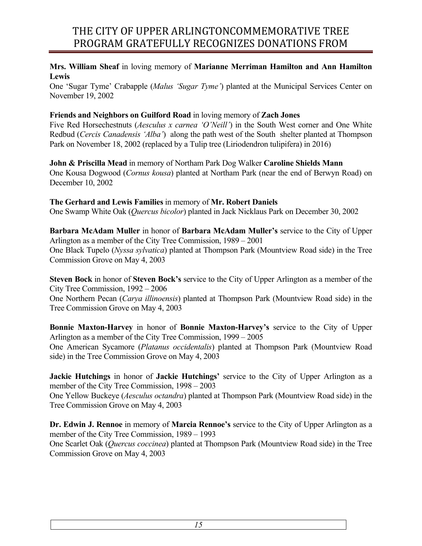## **Mrs. William Sheaf** in loving memory of **Marianne Merriman Hamilton and Ann Hamilton Lewis**

One 'Sugar Tyme' Crabapple (*Malus 'Sugar Tyme'*) planted at the Municipal Services Center on November 19, 2002

## **Friends and Neighbors on Guilford Road** in loving memory of **Zach Jones**

Five Red Horsechestnuts (*Aesculus x carnea 'O'Neill'*) in the South West corner and One White Redbud (*Cercis Canadensis 'Alba'*) along the path west of the South shelter planted at Thompson Park on November 18, 2002 (replaced by a Tulip tree (Liriodendron tulipifera) in 2016)

**John & Priscilla Mead** in memory of Northam Park Dog Walker **Caroline Shields Mann** One Kousa Dogwood (*Cornus kousa*) planted at Northam Park (near the end of Berwyn Road) on December 10, 2002

## **The Gerhard and Lewis Families** in memory of **Mr. Robert Daniels**

One Swamp White Oak (*Quercus bicolor*) planted in Jack Nicklaus Park on December 30, 2002

**Barbara McAdam Muller** in honor of **Barbara McAdam Muller's** service to the City of Upper Arlington as a member of the City Tree Commission, 1989 – 2001 One Black Tupelo (*Nyssa sylvatica*) planted at Thompson Park (Mountview Road side) in the Tree Commission Grove on May 4, 2003

**Steven Bock** in honor of **Steven Bock's** service to the City of Upper Arlington as a member of the City Tree Commission, 1992 – 2006

One Northern Pecan (*Carya illinoensis*) planted at Thompson Park (Mountview Road side) in the Tree Commission Grove on May 4, 2003

**Bonnie Maxton-Harvey** in honor of **Bonnie Maxton-Harvey's** service to the City of Upper Arlington as a member of the City Tree Commission, 1999 – 2005 One American Sycamore (*Platanus occidentalis*) planted at Thompson Park (Mountview Road side) in the Tree Commission Grove on May 4, 2003

**Jackie Hutchings** in honor of **Jackie Hutchings'** service to the City of Upper Arlington as a member of the City Tree Commission, 1998 – 2003

One Yellow Buckeye (*Aesculus octandra*) planted at Thompson Park (Mountview Road side) in the Tree Commission Grove on May 4, 2003

**Dr. Edwin J. Rennoe** in memory of **Marcia Rennoe's** service to the City of Upper Arlington as a member of the City Tree Commission, 1989 – 1993

One Scarlet Oak (*Quercus coccinea*) planted at Thompson Park (Mountview Road side) in the Tree Commission Grove on May 4, 2003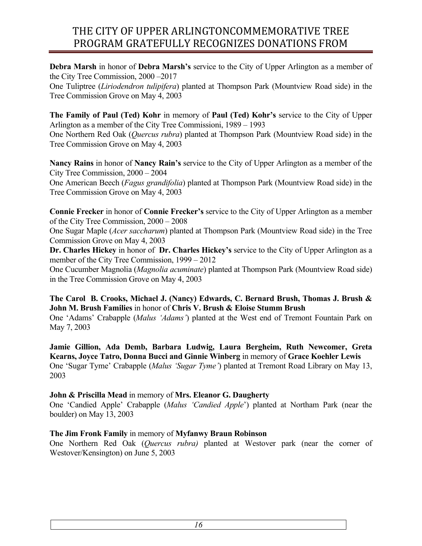**Debra Marsh** in honor of **Debra Marsh's** service to the City of Upper Arlington as a member of the City Tree Commission, 2000 –2017

One Tuliptree (*Liriodendron tulipifera*) planted at Thompson Park (Mountview Road side) in the Tree Commission Grove on May 4, 2003

**The Family of Paul (Ted) Kohr** in memory of **Paul (Ted) Kohr's** service to the City of Upper Arlington as a member of the City Tree Commissioni, 1989 – 1993 One Northern Red Oak (*Quercus rubra*) planted at Thompson Park (Mountview Road side) in the Tree Commission Grove on May 4, 2003

**Nancy Rains** in honor of **Nancy Rain's** service to the City of Upper Arlington as a member of the City Tree Commission, 2000 – 2004 One American Beech (*Fagus grandifolia*) planted at Thompson Park (Mountview Road side) in the Tree Commission Grove on May 4, 2003

**Connie Frecker** in honor of **Connie Frecker's** service to the City of Upper Arlington as a member of the City Tree Commission, 2000 – 2008

One Sugar Maple (*Acer saccharum*) planted at Thompson Park (Mountview Road side) in the Tree Commission Grove on May 4, 2003

**Dr. Charles Hickey** in honor of **Dr. Charles Hickey's** service to the City of Upper Arlington as a member of the City Tree Commission, 1999 – 2012

One Cucumber Magnolia (*Magnolia acuminate*) planted at Thompson Park (Mountview Road side) in the Tree Commission Grove on May 4, 2003

## **The Carol B. Crooks, Michael J. (Nancy) Edwards, C. Bernard Brush, Thomas J. Brush & John M. Brush Families** in honor of **Chris V. Brush & Eloise Stumm Brush**

One 'Adams' Crabapple (*Malus 'Adams'*) planted at the West end of Tremont Fountain Park on May 7, 2003

**Jamie Gillion, Ada Demb, Barbara Ludwig, Laura Bergheim, Ruth Newcomer, Greta Kearns, Joyce Tatro, Donna Bucci and Ginnie Winberg** in memory of **Grace Koehler Lewis** One 'Sugar Tyme' Crabapple (*Malus 'Sugar Tyme'*) planted at Tremont Road Library on May 13, 2003

## **John & Priscilla Mead** in memory of **Mrs. Eleanor G. Daugherty**

One 'Candied Apple' Crabapple (*Malus 'Candied Apple*') planted at Northam Park (near the boulder) on May 13, 2003

## **The Jim Fronk Family** in memory of **Myfanwy Braun Robinson**

One Northern Red Oak (*Quercus rubra)* planted at Westover park (near the corner of Westover/Kensington) on June 5, 2003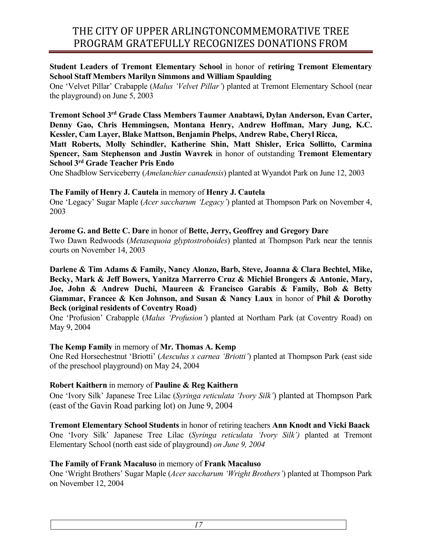## **Student Leaders of Tremont Elementary School** in honor of **retiring Tremont Elementary School Staff Members Marilyn Simmons and William Spaulding**

One 'Velvet Pillar' Crabapple (*Malus 'Velvet Pillar'*) planted at Tremont Elementary School (near the playground) on June 5, 2003

**Tremont School 3rd Grade Class Members Taumer Anabtawi, Dylan Anderson, Evan Carter, Denny Gao, Chris Hemmingsen, Montana Henry, Andrew Hoffman, Mary Jung, K.C. Kessler, Cam Layer, Blake Mattson, Benjamin Phelps, Andrew Rabe, Cheryl Ricca, Matt Roberts, Molly Schindler, Katherine Shin, Matt Shisler, Erica Sollitto, Carmina Spencer, Sam Stephenson and Justin Wavrek** in honor of outstanding **Tremont Elementary** 

**School 3rd Grade Teacher Pris Endo**

One Shadblow Serviceberry (*Amelanchier canadensis*) planted at Wyandot Park on June 12, 2003

## **The Family of Henry J. Cautela** in memory of **Henry J. Cautela**

One 'Legacy' Sugar Maple (*Acer saccharum 'Legacy'*) planted at Thompson Park on November 4, 2003

#### **Jerome G. and Bette C. Dare** in honor of **Bette, Jerry, Geoffrey and Gregory Dare**

Two Dawn Redwoods (*Metasequoia glyptostroboides*) planted at Thompson Park near the tennis courts on November 14, 2003

**Darlene & Tim Adams & Family, Nancy Alonzo, Barb, Steve, Joanna & Clara Bechtel, Mike, Becky, Mark & Jeff Bowers, Yanitza Marrerro Cruz & Michiel Brongers & Antonie, Mary, Joe, John & Andrew Duchi, Maureen & Francisco Garabis & Family, Bob & Betty Giammar, Francee & Ken Johnson, and Susan & Nancy Laux** in honor of **Phil & Dorothy Beck (original residents of Coventry Road)**

One 'Profusion' Crabapple (*Malus 'Profusion'*) planted at Northam Park (at Coventry Road) on May 9, 2004

#### **The Kemp Family** in memory of **Mr. Thomas A. Kemp**

One Red Horsechestnut 'Briotti' (*Aesculus x carnea 'Briotti'*) planted at Thompson Park (east side of the preschool playground) on May 24, 2004

#### **Robert Kaithern** in memory of **Pauline & Reg Kaithern**

One 'Ivory Silk' Japanese Tree Lilac (*Syringa reticulata 'Ivory Silk'*) planted at Thompson Park (east of the Gavin Road parking lot) on June 9, 2004

## **Tremont Elementary School Students** in honor of retiring teachers **Ann Knodt and Vicki Baack**

One 'Ivory Silk' Japanese Tree Lilac (*Syringa reticulata 'Ivory Silk')* planted at Tremont Elementary School (north east side of playground) *on June 9, 2004*

## **The Family of Frank Macaluso** in memory of **Frank Macaluso**

One 'Wright Brothers' Sugar Maple (*Acer saccharum 'Wright Brothers'*) planted at Thompson Park on November 12, 2004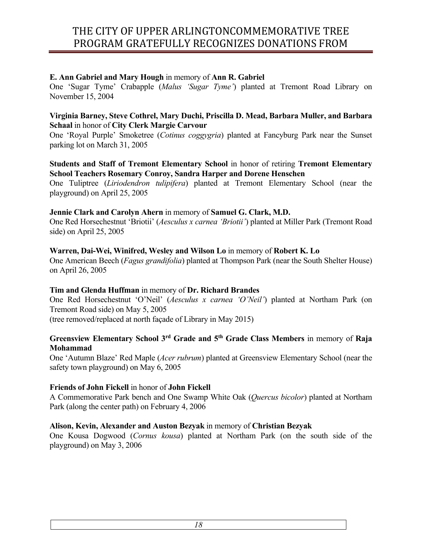## **E. Ann Gabriel and Mary Hough** in memory of **Ann R. Gabriel**

One 'Sugar Tyme' Crabapple (*Malus 'Sugar Tyme'*) planted at Tremont Road Library on November 15, 2004

#### **Virginia Barney, Steve Cothrel, Mary Duchi, Priscilla D. Mead, Barbara Muller, and Barbara Schaal** in honor of **City Clerk Margie Carvour**

One 'Royal Purple' Smoketree (*Cotinus coggygria*) planted at Fancyburg Park near the Sunset parking lot on March 31, 2005

## **Students and Staff of Tremont Elementary School** in honor of retiring **Tremont Elementary School Teachers Rosemary Conroy, Sandra Harper and Dorene Henschen**

One Tuliptree (*Liriodendron tulipifera*) planted at Tremont Elementary School (near the playground) on April 25, 2005

#### **Jennie Clark and Carolyn Ahern** in memory of **Samuel G. Clark, M.D.**

One Red Horsechestnut 'Briotii' (*Aesculus x carnea 'Briotii'*) planted at Miller Park (Tremont Road side) on April 25, 2005

#### **Warren, Dai-Wei, Winifred, Wesley and Wilson Lo** in memory of **Robert K. Lo**

One American Beech (*Fagus grandifolia*) planted at Thompson Park (near the South Shelter House) on April 26, 2005

#### **Tim and Glenda Huffman** in memory of **Dr. Richard Brandes**

One Red Horsechestnut 'O'Neil' (*Aesculus x carnea 'O'Neil'*) planted at Northam Park (on Tremont Road side) on May 5, 2005 (tree removed/replaced at north façade of Library in May 2015)

## **Greensview Elementary School 3rd Grade and 5th Grade Class Members** in memory of **Raja Mohammad**

One 'Autumn Blaze' Red Maple (*Acer rubrum*) planted at Greensview Elementary School (near the safety town playground) on May 6, 2005

#### **Friends of John Fickell** in honor of **John Fickell**

A Commemorative Park bench and One Swamp White Oak (*Quercus bicolor*) planted at Northam Park (along the center path) on February 4, 2006

## **Alison, Kevin, Alexander and Auston Bezyak** in memory of **Christian Bezyak**

One Kousa Dogwood (*Cornus kousa*) planted at Northam Park (on the south side of the playground) on May 3, 2006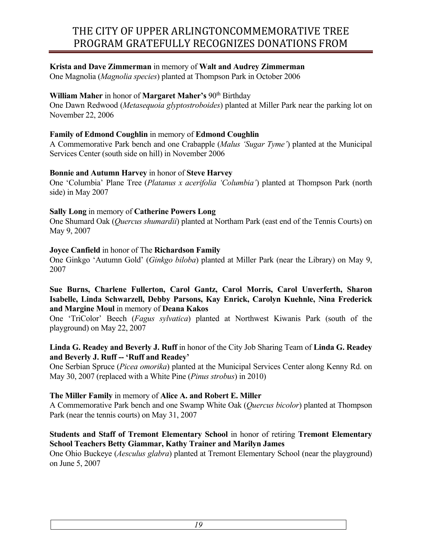## **Krista and Dave Zimmerman** in memory of **Walt and Audrey Zimmerman**

One Magnolia (*Magnolia species*) planted at Thompson Park in October 2006

#### **William Maher** in honor of **Margaret Maher's** 90<sup>th</sup> Birthday

One Dawn Redwood (*Metasequoia glyptostroboides*) planted at Miller Park near the parking lot on November 22, 2006

#### **Family of Edmond Coughlin** in memory of **Edmond Coughlin**

A Commemorative Park bench and one Crabapple (*Malus 'Sugar Tyme'*) planted at the Municipal Services Center (south side on hill) in November 2006

#### **Bonnie and Autumn Harvey** in honor of **Steve Harvey**

One 'Columbia' Plane Tree (*Platanus x acerifolia 'Columbia'*) planted at Thompson Park (north side) in May 2007

#### **Sally Long** in memory of **Catherine Powers Long**

One Shumard Oak (*Quercus shumardii*) planted at Northam Park (east end of the Tennis Courts) on May 9, 2007

#### **Joyce Canfield** in honor of The **Richardson Family**

One Ginkgo 'Autumn Gold' (*Ginkgo biloba*) planted at Miller Park (near the Library) on May 9, 2007

#### **Sue Burns, Charlene Fullerton, Carol Gantz, Carol Morris, Carol Unverferth, Sharon Isabelle, Linda Schwarzell, Debby Parsons, Kay Enrick, Carolyn Kuehnle, Nina Frederick and Margine Moul** in memory of **Deana Kakos**

One 'TriColor' Beech (*Fagus sylvatica*) planted at Northwest Kiwanis Park (south of the playground) on May 22, 2007

## **Linda G. Readey and Beverly J. Ruff** in honor of the City Job Sharing Team of **Linda G. Readey and Beverly J. Ruff -- 'Ruff and Readey'**

One Serbian Spruce (*Picea omorika*) planted at the Municipal Services Center along Kenny Rd. on May 30, 2007 (replaced with a White Pine (*Pinus strobus*) in 2010)

## **The Miller Family** in memory of **Alice A. and Robert E. Miller**

A Commemorative Park bench and one Swamp White Oak (*Quercus bicolor*) planted at Thompson Park (near the tennis courts) on May 31, 2007

#### **Students and Staff of Tremont Elementary School** in honor of retiring **Tremont Elementary School Teachers Betty Giammar, Kathy Trainer and Marilyn James**

One Ohio Buckeye (*Aesculus glabra*) planted at Tremont Elementary School (near the playground) on June 5, 2007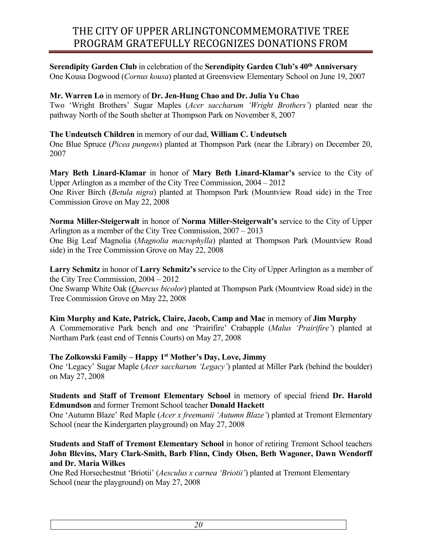**Serendipity Garden Club** in celebration of the **Serendipity Garden Club's 40th Anniversary** One Kousa Dogwood (*Cornus kousa*) planted at Greensview Elementary School on June 19, 2007

## **Mr. Warren Lo** in memory of **Dr. Jen-Hung Chao and Dr. Julia Yu Chao**

Two 'Wright Brothers' Sugar Maples (*Acer saccharum 'Wright Brothers'*) planted near the pathway North of the South shelter at Thompson Park on November 8, 2007

## **The Undeutsch Children** in memory of our dad, **William C. Undeutsch**

One Blue Spruce (*Picea pungens*) planted at Thompson Park (near the Library) on December 20, 2007

**Mary Beth Linard-Klamar** in honor of **Mary Beth Linard-Klamar's** service to the City of Upper Arlington as a member of the City Tree Commission, 2004 – 2012 One River Birch (*Betula nigra*) planted at Thompson Park (Mountview Road side) in the Tree Commission Grove on May 22, 2008

**Norma Miller-Steigerwalt** in honor of **Norma Miller-Steigerwalt's** service to the City of Upper Arlington as a member of the City Tree Commission, 2007 – 2013 One Big Leaf Magnolia (*Magnolia macrophylla*) planted at Thompson Park (Mountview Road side) in the Tree Commission Grove on May 22, 2008

**Larry Schmitz** in honor of **Larry Schmitz's** service to the City of Upper Arlington as a member of the City Tree Commission, 2004 – 2012

One Swamp White Oak (*Quercus bicolor*) planted at Thompson Park (Mountview Road side) in the Tree Commission Grove on May 22, 2008

# **Kim Murphy and Kate, Patrick, Claire, Jacob, Camp and Mac** in memory of **Jim Murphy**

A Commemorative Park bench and one 'Prairifire' Crabapple (*Malus 'Prairifire'*) planted at Northam Park (east end of Tennis Courts) on May 27, 2008

## **The Zolkowski Family – Happy 1st Mother's Day, Love, Jimmy**

One 'Legacy' Sugar Maple (*Acer saccharum 'Legacy'*) planted at Miller Park (behind the boulder) on May 27, 2008

## **Students and Staff of Tremont Elementary School** in memory of special friend **Dr. Harold Edmundson** and former Tremont School teacher **Donald Hackett**

One 'Autumn Blaze' Red Maple (*Acer x freemanii 'Autumn Blaze'*) planted at Tremont Elementary School (near the Kindergarten playground) on May 27, 2008

## **Students and Staff of Tremont Elementary School** in honor of retiring Tremont School teachers **John Blevins, Mary Clark-Smith, Barb Flinn, Cindy Olsen, Beth Wagoner, Dawn Wendorff and Dr. Maria Wilkes**

One Red Horsechestnut 'Briotii' (*Aesculus x carnea 'Briotii'*) planted at Tremont Elementary School (near the playground) on May 27, 2008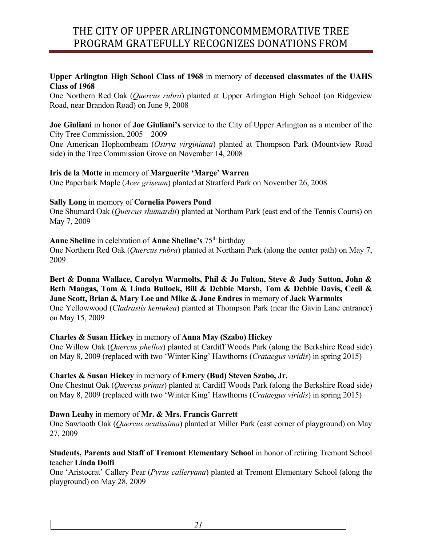## **Upper Arlington High School Class of 1968** in memory of **deceased classmates of the UAHS Class of 1968**

One Northern Red Oak (*Quercus rubra*) planted at Upper Arlington High School (on Ridgeview Road, near Brandon Road) on June 9, 2008

**Joe Giuliani** in honor of **Joe Giuliani's** service to the City of Upper Arlington as a member of the City Tree Commission, 2005 – 2009

One American Hophornbeam (*Ostrya virginiana*) planted at Thompson Park (Mountview Road side) in the Tree Commission Grove on November 14, 2008

#### **Iris de la Motte** in memory of **Marguerite 'Marge' Warren**

One Paperbark Maple (*Acer griseum*) planted at Stratford Park on November 26, 2008

## **Sally Long** in memory of **Cornelia Powers Pond**

One Shumard Oak (*Quercus shumardii*) planted at Northam Park (east end of the Tennis Courts) on May 7, 2009

## **Anne Sheline** in celebration of **Anne Sheline's** 75th birthday

One Northern Red Oak (*Quercus rubra*) planted at Northam Park (along the center path) on May 7, 2009

**Bert & Donna Wallace, Carolyn Warmolts, Phil & Jo Fulton, Steve & Judy Sutton, John & Beth Mangas, Tom & Linda Bullock, Bill & Debbie Marsh, Tom & Debbie Davis, Cecil & Jane Scott, Brian & Mary Loe and Mike & Jane Endres** in memory of **Jack Warmolts** One Yellowwood (*Cladrastis kentukea*) planted at Thompson Park (near the Gavin Lane entrance) on May 15, 2009

## **Charles & Susan Hickey** in memory of **Anna May (Szabo) Hickey**

One Willow Oak (*Quercus phellos*) planted at Cardiff Woods Park (along the Berkshire Road side) on May 8, 2009 (replaced with two 'Winter King' Hawthorns (*Crataegus viridis*) in spring 2015)

## **Charles & Susan Hickey** in memory of **Emery (Bud) Steven Szabo, Jr.**

One Chestnut Oak (*Quercus prinus*) planted at Cardiff Woods Park (along the Berkshire Road side) on May 8, 2009 (replaced with two 'Winter King' Hawthorns (*Crataegus viridis*) in spring 2015)

## **Dawn Leahy** in memory of **Mr. & Mrs. Francis Garrett**

One Sawtooth Oak (*Quercus acutissima*) planted at Miller Park (east corner of playground) on May 27, 2009

## **Students, Parents and Staff of Tremont Elementary School** in honor of retiring Tremont School teacher **Linda Dolfi**

One 'Aristocrat' Callery Pear (*Pyrus calleryana*) planted at Tremont Elementary School (along the playground) on May 28, 2009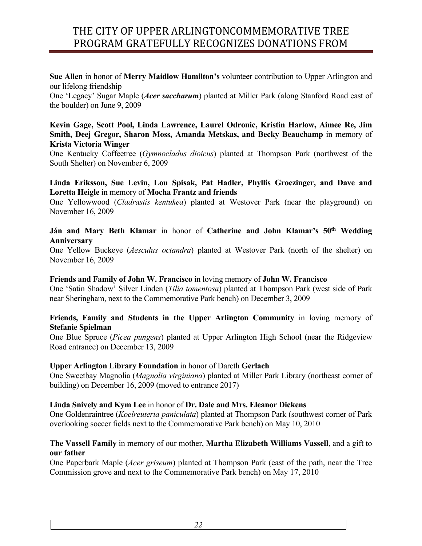**Sue Allen** in honor of **Merry Maidlow Hamilton's** volunteer contribution to Upper Arlington and our lifelong friendship

One 'Legacy' Sugar Maple (*Acer saccharum*) planted at Miller Park (along Stanford Road east of the boulder) on June 9, 2009

#### **Kevin Gage, Scott Pool, Linda Lawrence, Laurel Odronic, Kristin Harlow, Aimee Re, Jim Smith, Deej Gregor, Sharon Moss, Amanda Metskas, and Becky Beauchamp** in memory of **Krista Victoria Winger**

One Kentucky Coffeetree (*Gymnocladus dioicus*) planted at Thompson Park (northwest of the South Shelter) on November 6, 2009

## **Linda Eriksson, Sue Levin, Lou Spisak, Pat Hadler, Phyllis Groezinger, and Dave and Loretta Heigle** in memory of **Mocha Frantz and friends**

One Yellowwood (*Cladrastis kentukea*) planted at Westover Park (near the playground) on November 16, 2009

# **Ján and Mary Beth Klamar** in honor of **Catherine and John Klamar's 50th Wedding Anniversary**

One Yellow Buckeye (*Aesculus octandra*) planted at Westover Park (north of the shelter) on November 16, 2009

## **Friends and Family of John W. Francisco** in loving memory of **John W. Francisco**

One 'Satin Shadow' Silver Linden (*Tilia tomentosa*) planted at Thompson Park (west side of Park near Sheringham, next to the Commemorative Park bench) on December 3, 2009

#### **Friends, Family and Students in the Upper Arlington Community** in loving memory of **Stefanie Spielman**

One Blue Spruce (*Picea pungens*) planted at Upper Arlington High School (near the Ridgeview Road entrance) on December 13, 2009

## **Upper Arlington Library Foundation** in honor of Dareth **Gerlach**

One Sweetbay Magnolia (*Magnolia virginiana*) planted at Miller Park Library (northeast corner of building) on December 16, 2009 (moved to entrance 2017)

#### **Linda Snively and Kym Lee** in honor of **Dr. Dale and Mrs. Eleanor Dickens**

One Goldenraintree (*Koelreuteria paniculata*) planted at Thompson Park (southwest corner of Park overlooking soccer fields next to the Commemorative Park bench) on May 10, 2010

## **The Vassell Family** in memory of our mother, **Martha Elizabeth Williams Vassell**, and a gift to **our father**

One Paperbark Maple (*Acer griseum*) planted at Thompson Park (east of the path, near the Tree Commission grove and next to the Commemorative Park bench) on May 17, 2010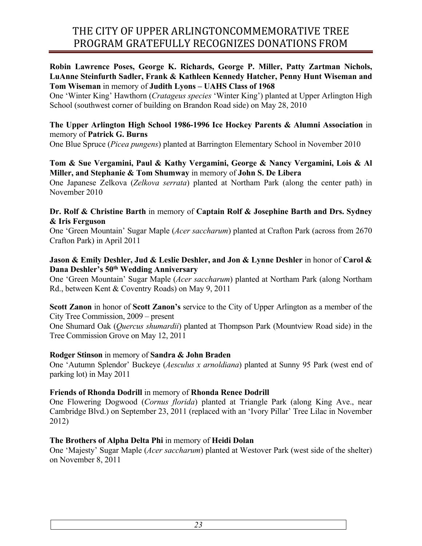#### **Robin Lawrence Poses, George K. Richards, George P. Miller, Patty Zartman Nichols, LuAnne Steinfurth Sadler, Frank & Kathleen Kennedy Hatcher, Penny Hunt Wiseman and Tom Wiseman** in memory of **Judith Lyons – UAHS Class of 1968**

One 'Winter King' Hawthorn (*Cratageus species* 'Winter King') planted at Upper Arlington High School (southwest corner of building on Brandon Road side) on May 28, 2010

#### **The Upper Arlington High School 1986-1996 Ice Hockey Parents & Alumni Association** in memory of **Patrick G. Burns**

One Blue Spruce (*Picea pungens*) planted at Barrington Elementary School in November 2010

#### **Tom & Sue Vergamini, Paul & Kathy Vergamini, George & Nancy Vergamini, Lois & Al Miller, and Stephanie & Tom Shumway** in memory of **John S. De Libera**

One Japanese Zelkova (*Zelkova serrata*) planted at Northam Park (along the center path) in November 2010

## **Dr. Rolf & Christine Barth** in memory of **Captain Rolf & Josephine Barth and Drs. Sydney & Iris Ferguson**

One 'Green Mountain' Sugar Maple (*Acer saccharum*) planted at Crafton Park (across from 2670 Crafton Park) in April 2011

## **Jason & Emily Deshler, Jud & Leslie Deshler, and Jon & Lynne Deshler** in honor of **Carol & Dana Deshler's 50th Wedding Anniversary**

One 'Green Mountain' Sugar Maple (*Acer saccharum*) planted at Northam Park (along Northam Rd., between Kent & Coventry Roads) on May 9, 2011

#### **Scott Zanon** in honor of **Scott Zanon's** service to the City of Upper Arlington as a member of the City Tree Commission, 2009 – present

One Shumard Oak (*Quercus shumardii*) planted at Thompson Park (Mountview Road side) in the Tree Commission Grove on May 12, 2011

## **Rodger Stinson** in memory of **Sandra & John Braden**

One 'Autumn Splendor' Buckeye (*Aesculus x arnoldiana*) planted at Sunny 95 Park (west end of parking lot) in May 2011

## **Friends of Rhonda Dodrill** in memory of **Rhonda Renee Dodrill**

One Flowering Dogwood (*Cornus florida*) planted at Triangle Park (along King Ave., near Cambridge Blvd.) on September 23, 2011 (replaced with an 'Ivory Pillar' Tree Lilac in November 2012)

## **The Brothers of Alpha Delta Phi** in memory of **Heidi Dolan**

One 'Majesty' Sugar Maple (*Acer saccharum*) planted at Westover Park (west side of the shelter) on November 8, 2011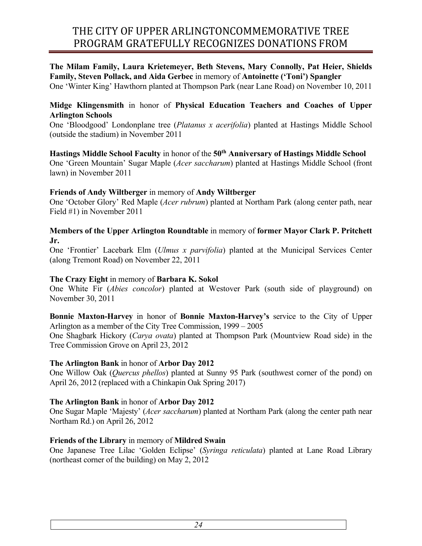#### **The Milam Family, Laura Krietemeyer, Beth Stevens, Mary Connolly, Pat Heier, Shields Family, Steven Pollack, and Aida Gerbec** in memory of **Antoinette ('Toni') Spangler**

One 'Winter King' Hawthorn planted at Thompson Park (near Lane Road) on November 10, 2011

## **Midge Klingensmith** in honor of **Physical Education Teachers and Coaches of Upper Arlington Schools**

One 'Bloodgood' Londonplane tree (*Platanus x acerifolia*) planted at Hastings Middle School (outside the stadium) in November 2011

**Hastings Middle School Faculty** in honor of the **50th Anniversary of Hastings Middle School**  One 'Green Mountain' Sugar Maple (*Acer saccharum*) planted at Hastings Middle School (front lawn) in November 2011

#### **Friends of Andy Wiltberger** in memory of **Andy Wiltberger**

One 'October Glory' Red Maple (*Acer rubrum*) planted at Northam Park (along center path, near Field #1) in November 2011

#### **Members of the Upper Arlington Roundtable** in memory of **former Mayor Clark P. Pritchett Jr.**

One 'Frontier' Lacebark Elm (*Ulmus x parvifolia*) planted at the Municipal Services Center (along Tremont Road) on November 22, 2011

## **The Crazy Eight** in memory of **Barbara K. Sokol**

One White Fir (*Abies concolor*) planted at Westover Park (south side of playground) on November 30, 2011

**Bonnie Maxton-Harvey** in honor of **Bonnie Maxton-Harvey's** service to the City of Upper Arlington as a member of the City Tree Commission, 1999 – 2005

One Shagbark Hickory (*Carya ovata*) planted at Thompson Park (Mountview Road side) in the Tree Commission Grove on April 23, 2012

## **The Arlington Bank** in honor of **Arbor Day 2012**

One Willow Oak (*Quercus phellos*) planted at Sunny 95 Park (southwest corner of the pond) on April 26, 2012 (replaced with a Chinkapin Oak Spring 2017)

## **The Arlington Bank** in honor of **Arbor Day 2012**

One Sugar Maple 'Majesty' (*Acer saccharum*) planted at Northam Park (along the center path near Northam Rd.) on April 26, 2012

## **Friends of the Library** in memory of **Mildred Swain**

One Japanese Tree Lilac 'Golden Eclipse' (*Syringa reticulata*) planted at Lane Road Library (northeast corner of the building) on May 2, 2012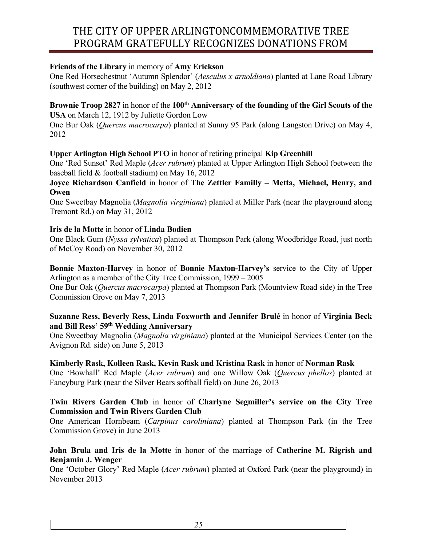## **Friends of the Library** in memory of **Amy Erickson**

One Red Horsechestnut 'Autumn Splendor' (*Aesculus x arnoldiana*) planted at Lane Road Library (southwest corner of the building) on May 2, 2012

## **Brownie Troop 2827** in honor of the 100<sup>th</sup> Anniversary of the founding of the Girl Scouts of the **USA** on March 12, 1912 by Juliette Gordon Low

One Bur Oak (*Quercus macrocarpa*) planted at Sunny 95 Park (along Langston Drive) on May 4, 2012

## **Upper Arlington High School PTO** in honor of retiring principal **Kip Greenhill**

One 'Red Sunset' Red Maple (*Acer rubrum*) planted at Upper Arlington High School (between the baseball field & football stadium) on May 16, 2012

## **Joyce Richardson Canfield** in honor of **The Zettler Familly – Metta, Michael, Henry, and Owen**

One Sweetbay Magnolia (*Magnolia virginiana*) planted at Miller Park (near the playground along Tremont Rd.) on May 31, 2012

## **Iris de la Motte** in honor of **Linda Bodien**

One Black Gum (*Nyssa sylvatica*) planted at Thompson Park (along Woodbridge Road, just north of McCoy Road) on November 30, 2012

**Bonnie Maxton-Harvey** in honor of **Bonnie Maxton-Harvey's** service to the City of Upper Arlington as a member of the City Tree Commission, 1999 – 2005

One Bur Oak (*Quercus macrocarpa*) planted at Thompson Park (Mountview Road side) in the Tree Commission Grove on May 7, 2013

## **Suzanne Ress, Beverly Ress, Linda Foxworth and Jennifer Brulé** in honor of **Virginia Beck and Bill Ress' 59th Wedding Anniversary**

One Sweetbay Magnolia (*Magnolia virginiana*) planted at the Municipal Services Center (on the Avignon Rd. side) on June 5, 2013

## **Kimberly Rask, Kolleen Rask, Kevin Rask and Kristina Rask** in honor of **Norman Rask**

One 'Bowhall' Red Maple (*Acer rubrum*) and one Willow Oak (*Quercus phellos*) planted at Fancyburg Park (near the Silver Bears softball field) on June 26, 2013

## **Twin Rivers Garden Club** in honor of **Charlyne Segmiller's service on the City Tree Commission and Twin Rivers Garden Club**

One American Hornbeam (*Carpinus caroliniana*) planted at Thompson Park (in the Tree Commission Grove) in June 2013

## **John Brula and Iris de la Motte** in honor of the marriage of **Catherine M. Rigrish and Benjamin J. Wenger**

One 'October Glory' Red Maple (*Acer rubrum*) planted at Oxford Park (near the playground) in November 2013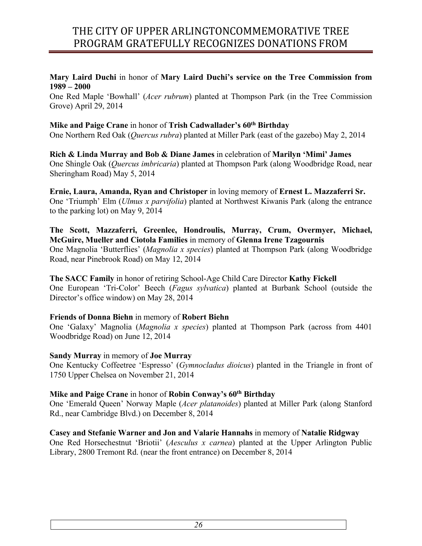## **Mary Laird Duchi** in honor of **Mary Laird Duchi's service on the Tree Commission from 1989 – 2000**

One Red Maple 'Bowhall' (*Acer rubrum*) planted at Thompson Park (in the Tree Commission Grove) April 29, 2014

# **Mike and Paige Crane** in honor of **Trish Cadwallader's 60th Birthday** One Northern Red Oak (*Quercus rubra*) planted at Miller Park (east of the gazebo) May 2, 2014

**Rich & Linda Murray and Bob & Diane James** in celebration of **Marilyn 'Mimi' James** One Shingle Oak (*Quercus imbricaria*) planted at Thompson Park (along Woodbridge Road, near Sheringham Road) May 5, 2014

**Ernie, Laura, Amanda, Ryan and Christoper** in loving memory of **Ernest L. Mazzaferri Sr.** One 'Triumph' Elm (*Ulmus x parvifolia*) planted at Northwest Kiwanis Park (along the entrance to the parking lot) on May 9, 2014

# **The Scott, Mazzaferri, Greenlee, Hondroulis, Murray, Crum, Overmyer, Michael, McGuire, Mueller and Ciotola Families** in memory of **Glenna Irene Tzagournis**

One Magnolia 'Butterflies' (*Magnolia x species*) planted at Thompson Park (along Woodbridge Road, near Pinebrook Road) on May 12, 2014

**The SACC Family** in honor of retiring School-Age Child Care Director **Kathy Fickell** One European 'Tri-Color' Beech (*Fagus sylvatica*) planted at Burbank School (outside the Director's office window) on May 28, 2014

# **Friends of Donna Biehn** in memory of **Robert Biehn**

One 'Galaxy' Magnolia (*Magnolia x species*) planted at Thompson Park (across from 4401 Woodbridge Road) on June 12, 2014

# **Sandy Murray** in memory of **Joe Murray**

One Kentucky Coffeetree 'Espresso' (*Gymnocladus dioicus*) planted in the Triangle in front of 1750 Upper Chelsea on November 21, 2014

# **Mike and Paige Crane** in honor of **Robin Conway's 60th Birthday**

One 'Emerald Queen' Norway Maple (*Acer platanoides*) planted at Miller Park (along Stanford Rd., near Cambridge Blvd.) on December 8, 2014

# **Casey and Stefanie Warner and Jon and Valarie Hannahs** in memory of **Natalie Ridgway**

One Red Horsechestnut 'Briotii' (*Aesculus x carnea*) planted at the Upper Arlington Public Library, 2800 Tremont Rd. (near the front entrance) on December 8, 2014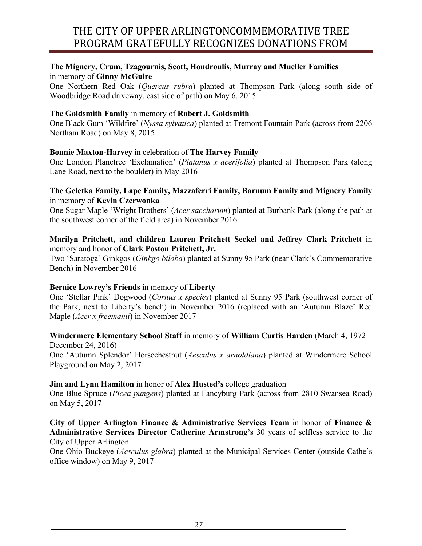## **The Mignery, Crum, Tzagournis, Scott, Hondroulis, Murray and Mueller Families** in memory of **Ginny McGuire**

One Northern Red Oak (*Quercus rubra*) planted at Thompson Park (along south side of Woodbridge Road driveway, east side of path) on May 6, 2015

## **The Goldsmith Family** in memory of **Robert J. Goldsmith**

One Black Gum 'Wildfire' (*Nyssa sylvatica*) planted at Tremont Fountain Park (across from 2206 Northam Road) on May 8, 2015

## **Bonnie Maxton-Harvey** in celebration of **The Harvey Family**

One London Planetree 'Exclamation' (*Platanus x acerifolia*) planted at Thompson Park (along Lane Road, next to the boulder) in May 2016

## **The Geletka Family, Lape Family, Mazzaferri Family, Barnum Family and Mignery Family** in memory of **Kevin Czerwonka**

One Sugar Maple 'Wright Brothers' (*Acer saccharum*) planted at Burbank Park (along the path at the southwest corner of the field area) in November 2016

## **Marilyn Pritchett, and children Lauren Pritchett Seckel and Jeffrey Clark Pritchett** in memory and honor of **Clark Poston Pritchett, Jr.**

Two 'Saratoga' Ginkgos (*Ginkgo biloba*) planted at Sunny 95 Park (near Clark's Commemorative Bench) in November 2016

## **Bernice Lowrey's Friends** in memory of **Liberty**

One 'Stellar Pink' Dogwood (*Cornus x species*) planted at Sunny 95 Park (southwest corner of the Park, next to Liberty's bench) in November 2016 (replaced with an 'Autumn Blaze' Red Maple (*Acer x freemanii*) in November 2017

#### **Windermere Elementary School Staff** in memory of **William Curtis Harden** (March 4, 1972 – December 24, 2016)

One 'Autumn Splendor' Horsechestnut (*Aesculus x arnoldiana*) planted at Windermere School Playground on May 2, 2017

## **Jim and Lynn Hamilton** in honor of **Alex Husted's** college graduation

One Blue Spruce (*Picea pungens*) planted at Fancyburg Park (across from 2810 Swansea Road) on May 5, 2017

#### **City of Upper Arlington Finance & Administrative Services Team** in honor of **Finance & Administrative Services Director Catherine Armstrong's** 30 years of selfless service to the City of Upper Arlington

One Ohio Buckeye (*Aesculus glabra*) planted at the Municipal Services Center (outside Cathe's office window) on May 9, 2017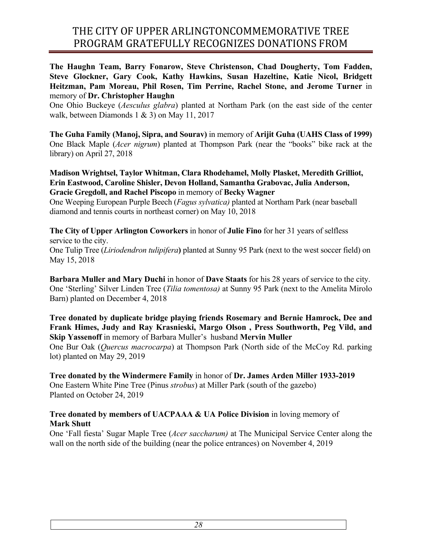**The Haughn Team, Barry Fonarow, Steve Christenson, Chad Dougherty, Tom Fadden, Steve Glockner, Gary Cook, Kathy Hawkins, Susan Hazeltine, Katie Nicol, Bridgett Heitzman, Pam Moreau, Phil Rosen, Tim Perrine, Rachel Stone, and Jerome Turner** in memory of **Dr. Christopher Haughn**

One Ohio Buckeye (*Aesculus glabra*) planted at Northam Park (on the east side of the center walk, between Diamonds 1 & 3) on May 11, 2017

**The Guha Family (Manoj, Sipra, and Sourav)** in memory of **Arijit Guha (UAHS Class of 1999)** One Black Maple (*Acer nigrum*) planted at Thompson Park (near the "books" bike rack at the library) on April 27, 2018

**Madison Wrightsel, Taylor Whitman, Clara Rhodehamel, Molly Plasket, Meredith Grilliot, Erin Eastwood, Caroline Shisler, Devon Holland, Samantha Grabovac, Julia Anderson, Gracie Gregdoll, and Rachel Piscopo** in memory of **Becky Wagner**

One Weeping European Purple Beech (*Fagus sylvatica)* planted at Northam Park (near baseball diamond and tennis courts in northeast corner) on May 10, 2018

**The City of Upper Arlington Coworkers** in honor of **Julie Fino** for her 31 years of selfless service to the city. One Tulip Tree (*Liriodendron tulipifera***)** planted at Sunny 95 Park (next to the west soccer field) on May 15, 2018

**Barbara Muller and Mary Duchi** in honor of **Dave Staats** for his 28 years of service to the city. One 'Sterling' Silver Linden Tree (*Tilia tomentosa)* at Sunny 95 Park (next to the Amelita Mirolo Barn) planted on December 4, 2018

**Tree donated by duplicate bridge playing friends Rosemary and Bernie Hamrock, Dee and Frank Himes, Judy and Ray Krasnieski, Margo Olson , Press Southworth, Peg Vild, and Skip Yassenoff** in memory of Barbara Muller's husband **Mervin Muller** 

One Bur Oak (*Quercus macrocarpa*) at Thompson Park (North side of the McCoy Rd. parking lot) planted on May 29, 2019

**Tree donated by the Windermere Family** in honor of **Dr. James Arden Miller 1933-2019** One Eastern White Pine Tree (Pinus *strobus*) at Miller Park (south of the gazebo) Planted on October 24, 2019

## **Tree donated by members of UACPAAA & UA Police Division** in loving memory of **Mark Shutt**

One 'Fall fiesta' Sugar Maple Tree (*Acer saccharum)* at The Municipal Service Center along the wall on the north side of the building (near the police entrances) on November 4, 2019